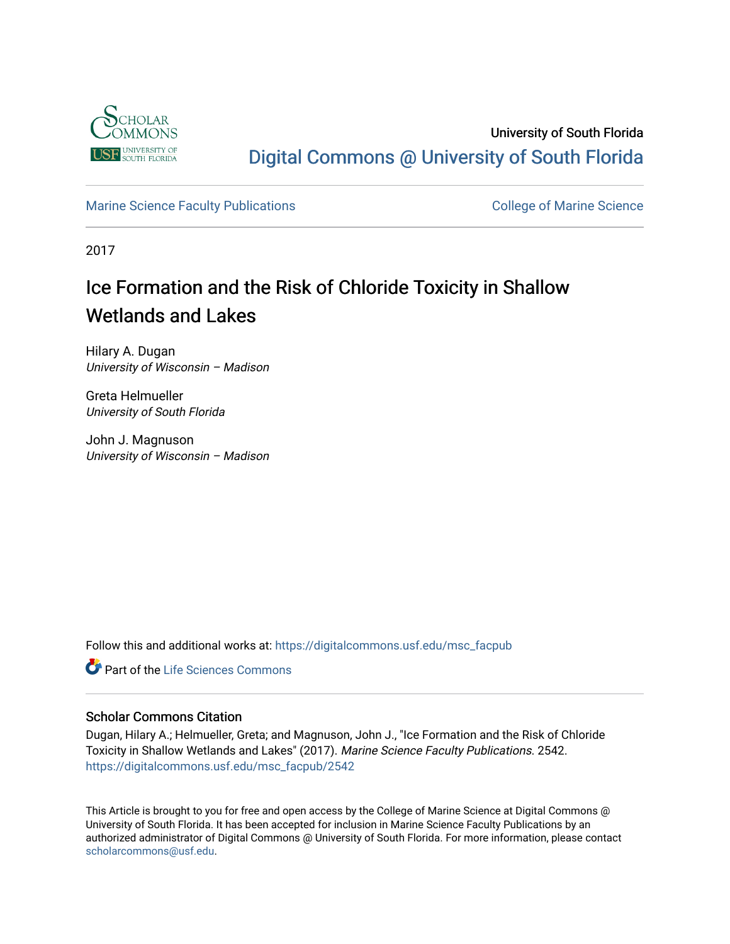

## University of South Florida [Digital Commons @ University of South Florida](https://digitalcommons.usf.edu/)

### [Marine Science Faculty Publications](https://digitalcommons.usf.edu/msc_facpub) **College of Marine Science** College of Marine Science

2017

# Ice Formation and the Risk of Chloride Toxicity in Shallow Wetlands and Lakes

Hilary A. Dugan University of Wisconsin – Madison

Greta Helmueller University of South Florida

John J. Magnuson University of Wisconsin – Madison

Follow this and additional works at: [https://digitalcommons.usf.edu/msc\\_facpub](https://digitalcommons.usf.edu/msc_facpub?utm_source=digitalcommons.usf.edu%2Fmsc_facpub%2F2542&utm_medium=PDF&utm_campaign=PDFCoverPages) 

**C** Part of the Life Sciences Commons

### Scholar Commons Citation

Dugan, Hilary A.; Helmueller, Greta; and Magnuson, John J., "Ice Formation and the Risk of Chloride Toxicity in Shallow Wetlands and Lakes" (2017). Marine Science Faculty Publications. 2542. [https://digitalcommons.usf.edu/msc\\_facpub/2542](https://digitalcommons.usf.edu/msc_facpub/2542?utm_source=digitalcommons.usf.edu%2Fmsc_facpub%2F2542&utm_medium=PDF&utm_campaign=PDFCoverPages) 

This Article is brought to you for free and open access by the College of Marine Science at Digital Commons @ University of South Florida. It has been accepted for inclusion in Marine Science Faculty Publications by an authorized administrator of Digital Commons @ University of South Florida. For more information, please contact [scholarcommons@usf.edu.](mailto:scholarcommons@usf.edu)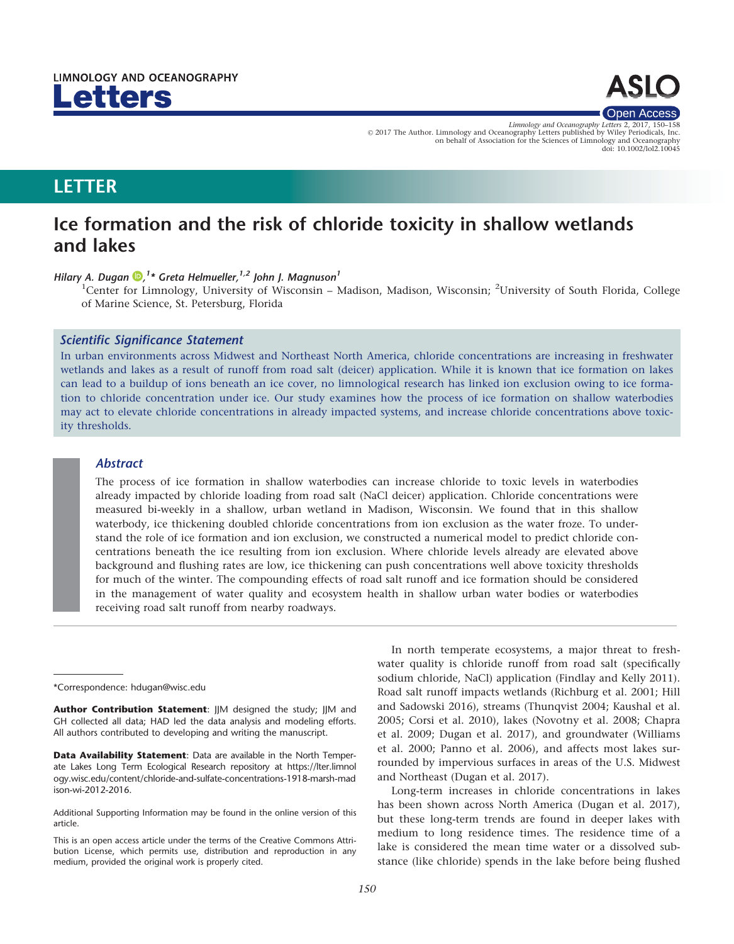



Limnology and Oceanography Letters 2, 2017, V<sup>C</sup> 2017 The Author. Limnology and Oceanography Letters published by Wiley Periodicals, Inc. on behalf of Association for the Sciences of Limnology and Oceanography doi: 10.1002/lol2.10045

### LETTER

### Ice formation and the risk of chloride toxicity in shallow wetlands and lakes

#### Hilary A. Dugan  $\mathbf{D}$ [,](http://orcid.org/0000-0003-4674-1149)<sup>1</sup>\* Greta Helmueller,<sup>1,2</sup> John J. Magnuson<sup>1</sup>

<sup>1</sup>Center for Limnology, University of Wisconsin - Madison, Madison, Wisconsin; <sup>2</sup>University of South Florida, College of Marine Science, St. Petersburg, Florida

#### Scientific Significance Statement

In urban environments across Midwest and Northeast North America, chloride concentrations are increasing in freshwater wetlands and lakes as a result of runoff from road salt (deicer) application. While it is known that ice formation on lakes can lead to a buildup of ions beneath an ice cover, no limnological research has linked ion exclusion owing to ice formation to chloride concentration under ice. Our study examines how the process of ice formation on shallow waterbodies may act to elevate chloride concentrations in already impacted systems, and increase chloride concentrations above toxicity thresholds.

#### Abstract

The process of ice formation in shallow waterbodies can increase chloride to toxic levels in waterbodies already impacted by chloride loading from road salt (NaCl deicer) application. Chloride concentrations were measured bi-weekly in a shallow, urban wetland in Madison, Wisconsin. We found that in this shallow waterbody, ice thickening doubled chloride concentrations from ion exclusion as the water froze. To understand the role of ice formation and ion exclusion, we constructed a numerical model to predict chloride concentrations beneath the ice resulting from ion exclusion. Where chloride levels already are elevated above background and flushing rates are low, ice thickening can push concentrations well above toxicity thresholds for much of the winter. The compounding effects of road salt runoff and ice formation should be considered in the management of water quality and ecosystem health in shallow urban water bodies or waterbodies receiving road salt runoff from nearby roadways.

Author Contribution Statement: JJM designed the study; JJM and GH collected all data; HAD led the data analysis and modeling efforts. All authors contributed to developing and writing the manuscript.

Data Availability Statement: Data are available in the North Temperate Lakes Long Term Ecological Research repository at [https://lter.limnol](https://lter.limnology.wisc.edu/content/chloride-and-sulfate-concentrations-1918-marsh-madison-wi-2012-2016) [ogy.wisc.edu/content/chloride-and-sulfate-concentrations-1918-marsh-mad](https://lter.limnology.wisc.edu/content/chloride-and-sulfate-concentrations-1918-marsh-madison-wi-2012-2016) [ison-wi-2012-2016.](https://lter.limnology.wisc.edu/content/chloride-and-sulfate-concentrations-1918-marsh-madison-wi-2012-2016)

Additional Supporting Information may be found in the online version of this article.

In north temperate ecosystems, a major threat to freshwater quality is chloride runoff from road salt (specifically sodium chloride, NaCl) application (Findlay and Kelly 2011). Road salt runoff impacts wetlands (Richburg et al. 2001; Hill and Sadowski 2016), streams (Thunqvist 2004; Kaushal et al. 2005; Corsi et al. 2010), lakes (Novotny et al. 2008; Chapra et al. 2009; Dugan et al. 2017), and groundwater (Williams et al. 2000; Panno et al. 2006), and affects most lakes surrounded by impervious surfaces in areas of the U.S. Midwest and Northeast (Dugan et al. 2017).

Long-term increases in chloride concentrations in lakes has been shown across North America (Dugan et al. 2017), but these long-term trends are found in deeper lakes with medium to long residence times. The residence time of a lake is considered the mean time water or a dissolved substance (like chloride) spends in the lake before being flushed

<sup>\*</sup>Correspondence: hdugan@wisc.edu

This is an open access article under the terms of the [Creative Commons Attri](http://creativecommons.org/licenses/by/4.0/)[bution](http://creativecommons.org/licenses/by/4.0/) License, which permits use, distribution and reproduction in any medium, provided the original work is properly cited.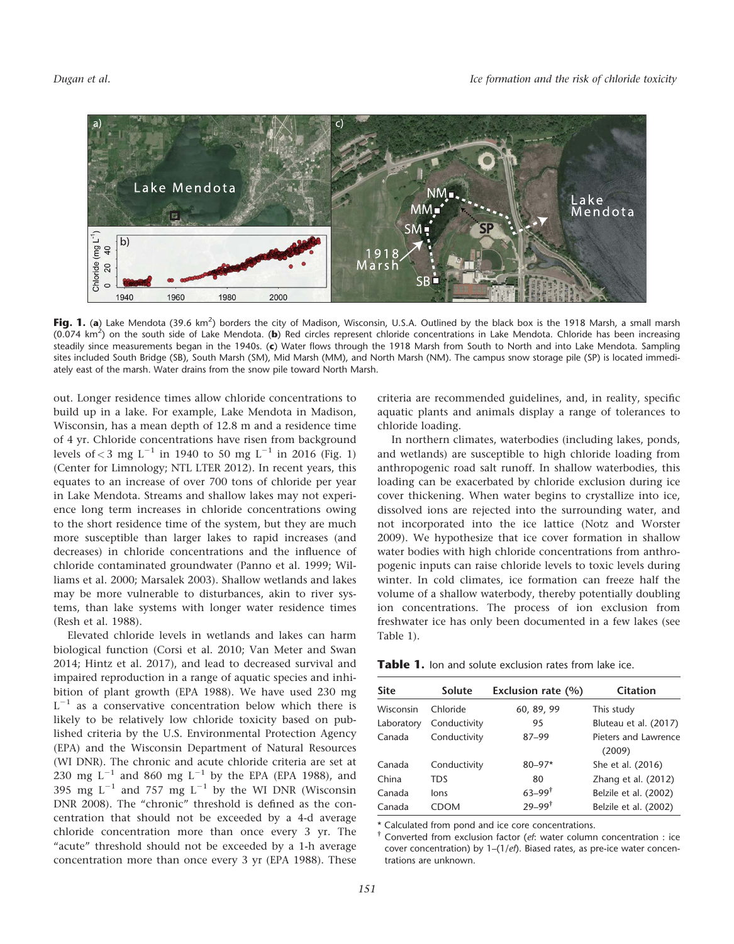

Fig. 1. (a) Lake Mendota (39.6 km<sup>2</sup>) borders the city of Madison, Wisconsin, U.S.A. Outlined by the black box is the 1918 Marsh, a small marsh (0.074 km<sup>2</sup>) on the south side of Lake Mendota. (b) Red circles represent chloride concentrations in Lake Mendota. Chloride has been increasing steadily since measurements began in the 1940s. (c) Water flows through the 1918 Marsh from South to North and into Lake Mendota. Sampling sites included South Bridge (SB), South Marsh (SM), Mid Marsh (MM), and North Marsh (NM). The campus snow storage pile (SP) is located immediately east of the marsh. Water drains from the snow pile toward North Marsh.

out. Longer residence times allow chloride concentrations to build up in a lake. For example, Lake Mendota in Madison, Wisconsin, has a mean depth of 12.8 m and a residence time of 4 yr. Chloride concentrations have risen from background levels of < 3 mg L<sup>-1</sup> in 1940 to 50 mg L<sup>-1</sup> in 2016 (Fig. 1) (Center for Limnology; NTL LTER 2012). In recent years, this equates to an increase of over 700 tons of chloride per year in Lake Mendota. Streams and shallow lakes may not experience long term increases in chloride concentrations owing to the short residence time of the system, but they are much more susceptible than larger lakes to rapid increases (and decreases) in chloride concentrations and the influence of chloride contaminated groundwater (Panno et al. 1999; Williams et al. 2000; Marsalek 2003). Shallow wetlands and lakes may be more vulnerable to disturbances, akin to river systems, than lake systems with longer water residence times (Resh et al. 1988).

Elevated chloride levels in wetlands and lakes can harm biological function (Corsi et al. 2010; Van Meter and Swan 2014; Hintz et al. 2017), and lead to decreased survival and impaired reproduction in a range of aquatic species and inhibition of plant growth (EPA 1988). We have used 230 mg  $L^{-1}$  as a conservative concentration below which there is likely to be relatively low chloride toxicity based on published criteria by the U.S. Environmental Protection Agency (EPA) and the Wisconsin Department of Natural Resources (WI DNR). The chronic and acute chloride criteria are set at 230 mg  $L^{-1}$  and 860 mg  $L^{-1}$  by the EPA (EPA 1988), and 395 mg  $L^{-1}$  and 757 mg  $L^{-1}$  by the WI DNR (Wisconsin DNR 2008). The "chronic" threshold is defined as the concentration that should not be exceeded by a 4-d average chloride concentration more than once every 3 yr. The "acute" threshold should not be exceeded by a 1-h average concentration more than once every 3 yr (EPA 1988). These criteria are recommended guidelines, and, in reality, specific aquatic plants and animals display a range of tolerances to chloride loading.

In northern climates, waterbodies (including lakes, ponds, and wetlands) are susceptible to high chloride loading from anthropogenic road salt runoff. In shallow waterbodies, this loading can be exacerbated by chloride exclusion during ice cover thickening. When water begins to crystallize into ice, dissolved ions are rejected into the surrounding water, and not incorporated into the ice lattice (Notz and Worster 2009). We hypothesize that ice cover formation in shallow water bodies with high chloride concentrations from anthropogenic inputs can raise chloride levels to toxic levels during winter. In cold climates, ice formation can freeze half the volume of a shallow waterbody, thereby potentially doubling ion concentrations. The process of ion exclusion from freshwater ice has only been documented in a few lakes (see Table 1).

| <b>Table 1.</b> Ion and solute exclusion rates from lake ice. |
|---------------------------------------------------------------|
|---------------------------------------------------------------|

| Site       | Solute       | Exclusion rate (%)     | Citation              |
|------------|--------------|------------------------|-----------------------|
| Wisconsin  | Chloride     | 60, 89, 99             | This study            |
| Laboratory | Conductivity | 95                     | Bluteau et al. (2017) |
| Canada     | Conductivity | $87 - 99$              | Pieters and Lawrence  |
|            |              |                        | (2009)                |
| Canada     | Conductivity | $80 - 97*$             | She et al. (2016)     |
| China      | TDS          | 80                     | Zhang et al. (2012)   |
| Canada     | lons         | $63 - 99$ <sup>†</sup> | Belzile et al. (2002) |
| Canada     | CDOM         | $79 - 99^{\dagger}$    | Belzile et al. (2002) |

\* Calculated from pond and ice core concentrations.

† Converted from exclusion factor (ef: water column concentration : ice cover concentration) by 1–(1/ef). Biased rates, as pre-ice water concentrations are unknown.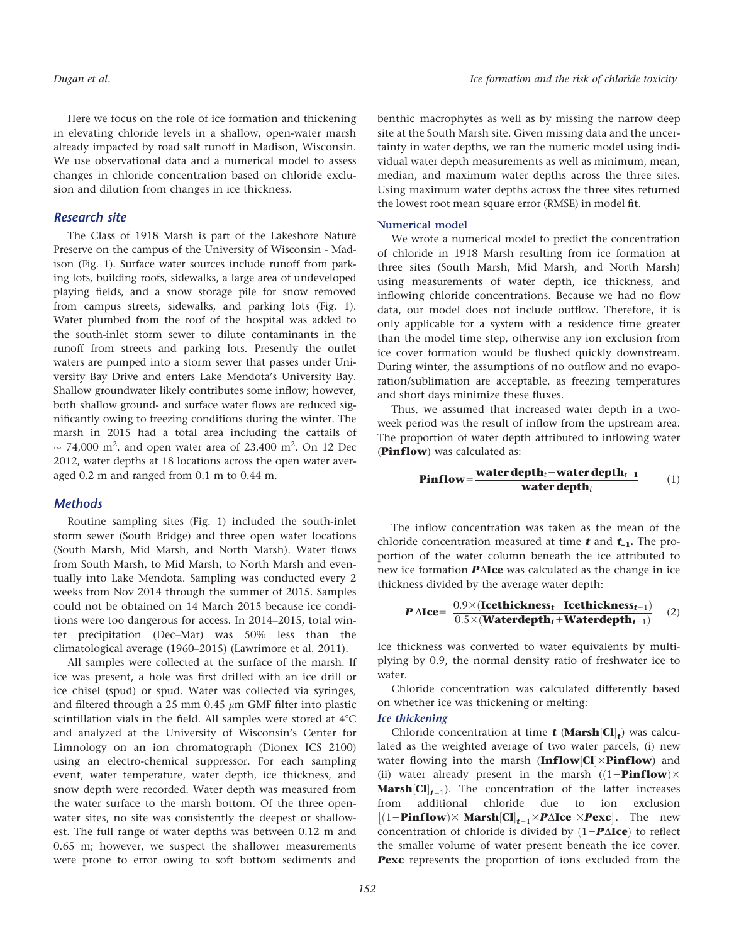Here we focus on the role of ice formation and thickening in elevating chloride levels in a shallow, open-water marsh already impacted by road salt runoff in Madison, Wisconsin. We use observational data and a numerical model to assess changes in chloride concentration based on chloride exclusion and dilution from changes in ice thickness.

#### Research site

The Class of 1918 Marsh is part of the Lakeshore Nature Preserve on the campus of the University of Wisconsin - Madison (Fig. 1). Surface water sources include runoff from parking lots, building roofs, sidewalks, a large area of undeveloped playing fields, and a snow storage pile for snow removed from campus streets, sidewalks, and parking lots (Fig. 1). Water plumbed from the roof of the hospital was added to the south-inlet storm sewer to dilute contaminants in the runoff from streets and parking lots. Presently the outlet waters are pumped into a storm sewer that passes under University Bay Drive and enters Lake Mendota's University Bay. Shallow groundwater likely contributes some inflow; however, both shallow ground- and surface water flows are reduced significantly owing to freezing conditions during the winter. The marsh in 2015 had a total area including the cattails of  $\sim$  74,000 m<sup>2</sup>, and open water area of 23,400 m<sup>2</sup>. On 12 Dec 2012, water depths at 18 locations across the open water averaged 0.2 m and ranged from 0.1 m to 0.44 m.

#### **Methods**

Routine sampling sites (Fig. 1) included the south-inlet storm sewer (South Bridge) and three open water locations (South Marsh, Mid Marsh, and North Marsh). Water flows from South Marsh, to Mid Marsh, to North Marsh and eventually into Lake Mendota. Sampling was conducted every 2 weeks from Nov 2014 through the summer of 2015. Samples could not be obtained on 14 March 2015 because ice conditions were too dangerous for access. In 2014–2015, total winter precipitation (Dec–Mar) was 50% less than the climatological average (1960–2015) (Lawrimore et al. 2011).

All samples were collected at the surface of the marsh. If ice was present, a hole was first drilled with an ice drill or ice chisel (spud) or spud. Water was collected via syringes, and filtered through a 25 mm 0.45  $\mu$ m GMF filter into plastic scintillation vials in the field. All samples were stored at  $4^{\circ}$ C and analyzed at the University of Wisconsin's Center for Limnology on an ion chromatograph (Dionex ICS 2100) using an electro-chemical suppressor. For each sampling event, water temperature, water depth, ice thickness, and snow depth were recorded. Water depth was measured from the water surface to the marsh bottom. Of the three openwater sites, no site was consistently the deepest or shallowest. The full range of water depths was between 0.12 m and 0.65 m; however, we suspect the shallower measurements were prone to error owing to soft bottom sediments and

benthic macrophytes as well as by missing the narrow deep site at the South Marsh site. Given missing data and the uncertainty in water depths, we ran the numeric model using individual water depth measurements as well as minimum, mean, median, and maximum water depths across the three sites. Using maximum water depths across the three sites returned the lowest root mean square error (RMSE) in model fit.

#### Numerical model

We wrote a numerical model to predict the concentration of chloride in 1918 Marsh resulting from ice formation at three sites (South Marsh, Mid Marsh, and North Marsh) using measurements of water depth, ice thickness, and inflowing chloride concentrations. Because we had no flow data, our model does not include outflow. Therefore, it is only applicable for a system with a residence time greater than the model time step, otherwise any ion exclusion from ice cover formation would be flushed quickly downstream. During winter, the assumptions of no outflow and no evaporation/sublimation are acceptable, as freezing temperatures and short days minimize these fluxes.

Thus, we assumed that increased water depth in a twoweek period was the result of inflow from the upstream area. The proportion of water depth attributed to inflowing water (**Pinflow**) was calculated as:

$$
Pinflow = \frac{water depth_t - water depth_{t-1}}{water depth_t}
$$
 (1)

The inflow concentration was taken as the mean of the chloride concentration measured at time  $t$  and  $t_{-1}$ . The proportion of the water column beneath the ice attributed to new ice formation  $P\Delta$ Ice was calculated as the change in ice thickness divided by the average water depth:

$$
P \triangle Ice = \frac{0.9 \times (Icethickness_t - Icethickness_{t-1})}{0.5 \times (Waterdepth_t + Waterdepth_{t-1})} \quad (2)
$$

Ice thickness was converted to water equivalents by multiplying by 0.9, the normal density ratio of freshwater ice to water.

Chloride concentration was calculated differently based on whether ice was thickening or melting:

#### Ice thickening

Chloride concentration at time  $t$  (Marsh  $|Cl_t|$ ) was calculated as the weighted average of two water parcels, (i) new water flowing into the marsh  $(Inflow|Cl|\times Pinflow)$  and (ii) water already present in the marsh  $((1-Pinflow) \times$ **Marsh** $[CI]_{t-1}$ ). The concentration of the latter increases from additional chloride due to ion exclusion  $[(1-Pinflow)\times \text{Marsh}[\text{Cl}]_{t-1}\times P \Delta \text{Ice} \times P \text{exc}]$ . The new concentration of chloride is divided by  $(1 - P\Delta Ice)$  to reflect the smaller volume of water present beneath the ice cover. Pexc represents the proportion of ions excluded from the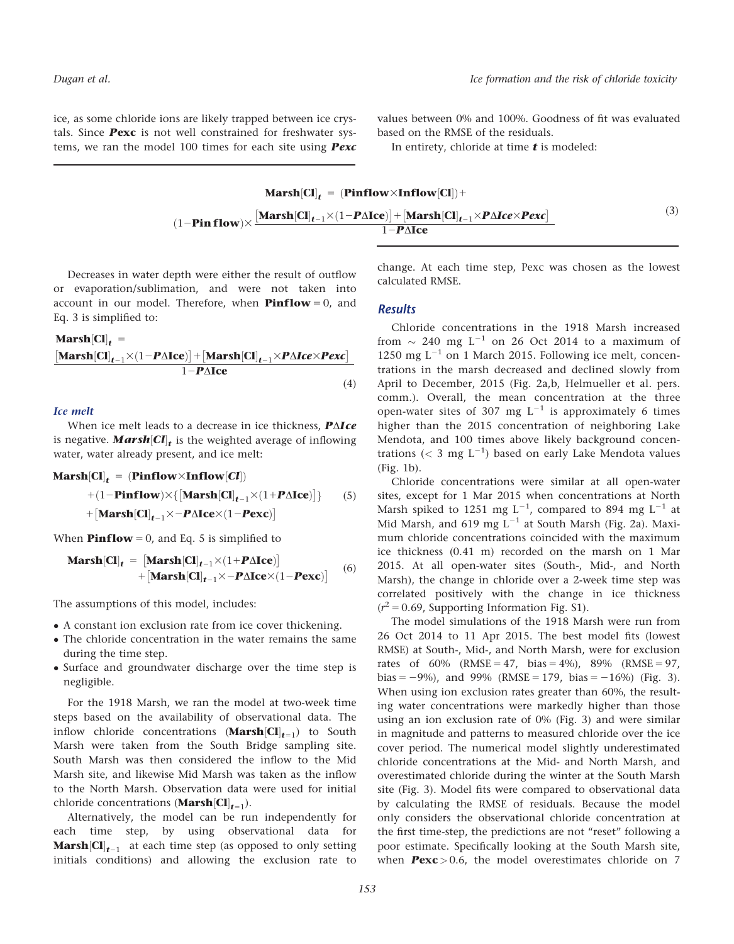ice, as some chloride ions are likely trapped between ice crystals. Since Pexc is not well constrained for freshwater systems, we ran the model 100 times for each site using **Pexc** 

values between 0% and 100%. Goodness of fit was evaluated based on the RMSE of the residuals.

In entirety, chloride at time  $t$  is modeled:

| $Marsh[Cl]f = (Pinflow \times Inflow[Cl]) +$                                                                                                                                                                                                                                                                       |     |
|--------------------------------------------------------------------------------------------------------------------------------------------------------------------------------------------------------------------------------------------------------------------------------------------------------------------|-----|
| $(1-\textbf{Pin flow})\times\frac{[\textbf{Marsh}[\textbf{Cl}]_{t-1}\times(1-\textbf{P}\Delta\textbf{Ice})]+[\textbf{Marsh}[\textbf{Cl}]_{t-1}\times\textbf{P}\Delta\textbf{Ice}\times\textbf{Pexc}]}{[\textbf{Pl}[\textbf{Cl}]_{t-1}\times\textbf{P}\Delta\textbf{Ice}\times\textbf{Pexc}]}.$<br>$1-P\Lambda$ Ice | (3) |

Decreases in water depth were either the result of outflow or evaporation/sublimation, and were not taken into account in our model. Therefore, when **Pinflow** = 0, and Eq. 3 is simplified to:

#### $$

$$
\frac{\left[\mathbf{Marsh}[CI]_{t-1} \times (1 - P\Delta Ice)\right] + \left[\mathbf{Marsh}[CI]_{t-1} \times P\Delta Ice \times Pexc\right]}{1 - P\Delta Ice}
$$
\n(4)

Ice melt

When ice melt leads to a decrease in ice thickness,  $P \Delta Ice$ is negative. **Marsh**[ $CI$ ]<sub>t</sub> is the weighted average of inflowing water, water already present, and ice melt:

 $\text{Marsh}[\text{Cl}]_t = (\text{Pinflow} \times \text{Inflow}[\text{Cl}])$ 

$$
+(1-\text{Pinflow})\times\{\left[\text{Marsh}[CI]_{t-1}\times(1+\text{P\Delta Ice})\right]\} \qquad(5)
$$

$$
+\left[\text{Marsh}[CI]_{t-1}\times-\text{P\Delta Ice}\times(1-\text{Pexc})\right]
$$

When **Pinflow** = 0, and Eq. 5 is simplified to

$$
\begin{aligned} \mathbf{Mark}[\mathbf{Cl}]_{t} &= \begin{bmatrix} \mathbf{Markh}[\mathbf{Cl}]_{t-1} \times (1 + P\Delta \mathbf{Ice}) \end{bmatrix} \\ &+ \begin{bmatrix} \mathbf{Markh}[\mathbf{Cl}]_{t-1} \times -P\Delta \mathbf{Ice} \times (1 - P\mathbf{exc}) \end{bmatrix} \end{aligned} \tag{6}
$$

The assumptions of this model, includes:

- A constant ion exclusion rate from ice cover thickening.
- The chloride concentration in the water remains the same during the time step.
- Surface and groundwater discharge over the time step is negligible.

For the 1918 Marsh, we ran the model at two-week time steps based on the availability of observational data. The inflow chloride concentrations (**Marsh** $[CI]_{t=1}$ ) to South Marsh were taken from the South Bridge sampling site. South Marsh was then considered the inflow to the Mid Marsh site, and likewise Mid Marsh was taken as the inflow to the North Marsh. Observation data were used for initial chloride concentrations (**Marsh**[Cl]<sub>t=1</sub>).

Alternatively, the model can be run independently for each time step, by using observational data for **Marsh**  $|CI|_{t-1}$  at each time step (as opposed to only setting initials conditions) and allowing the exclusion rate to change. At each time step, Pexc was chosen as the lowest calculated RMSE.

#### **Results**

Chloride concentrations in the 1918 Marsh increased from  $\sim$  240 mg L $^{-1}$  on 26 Oct 2014 to a maximum of 1250 mg  $L^{-1}$  on 1 March 2015. Following ice melt, concentrations in the marsh decreased and declined slowly from April to December, 2015 (Fig. 2a,b, Helmueller et al. pers. comm.). Overall, the mean concentration at the three open-water sites of 307 mg  $L^{-1}$  is approximately 6 times higher than the 2015 concentration of neighboring Lake Mendota, and 100 times above likely background concentrations ( $<$  3 mg L<sup>-1</sup>) based on early Lake Mendota values (Fig. 1b).

Chloride concentrations were similar at all open-water sites, except for 1 Mar 2015 when concentrations at North Marsh spiked to 1251 mg  $L^{-1}$ , compared to 894 mg  $L^{-1}$  at Mid Marsh, and 619 mg  $L^{-1}$  at South Marsh (Fig. 2a). Maximum chloride concentrations coincided with the maximum ice thickness (0.41 m) recorded on the marsh on 1 Mar 2015. At all open-water sites (South-, Mid-, and North Marsh), the change in chloride over a 2-week time step was correlated positively with the change in ice thickness  $(r^2 = 0.69$ , Supporting Information Fig. S1).

The model simulations of the 1918 Marsh were run from 26 Oct 2014 to 11 Apr 2015. The best model fits (lowest RMSE) at South-, Mid-, and North Marsh, were for exclusion rates of  $60\%$  (RMSE = 47, bias = 4%), 89% (RMSE = 97, bias =  $-9\%$ ), and 99% (RMSE = 179, bias =  $-16\%$ ) (Fig. 3). When using ion exclusion rates greater than 60%, the resulting water concentrations were markedly higher than those using an ion exclusion rate of 0% (Fig. 3) and were similar in magnitude and patterns to measured chloride over the ice cover period. The numerical model slightly underestimated chloride concentrations at the Mid- and North Marsh, and overestimated chloride during the winter at the South Marsh site (Fig. 3). Model fits were compared to observational data by calculating the RMSE of residuals. Because the model only considers the observational chloride concentration at the first time-step, the predictions are not "reset" following a poor estimate. Specifically looking at the South Marsh site, when  $Pexc > 0.6$ , the model overestimates chloride on 7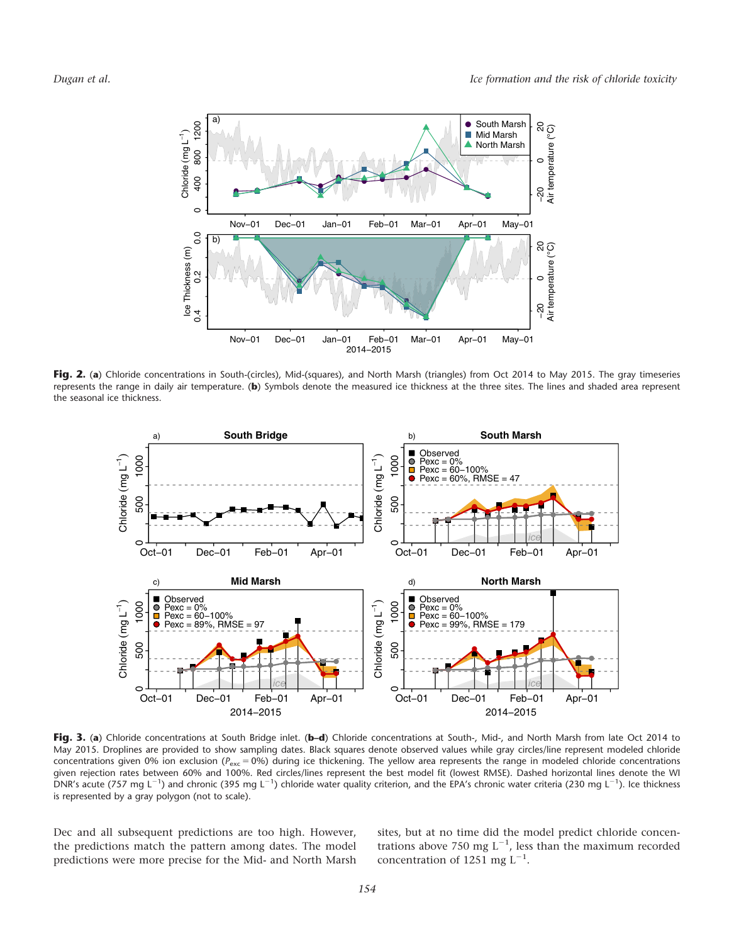

Fig. 2. (a) Chloride concentrations in South-(circles), Mid-(squares), and North Marsh (triangles) from Oct 2014 to May 2015. The gray timeseries represents the range in daily air temperature. (b) Symbols denote the measured ice thickness at the three sites. The lines and shaded area represent the seasonal ice thickness.



Fig. 3. (a) Chloride concentrations at South Bridge inlet. (b-d) Chloride concentrations at South-, Mid-, and North Marsh from late Oct 2014 to May 2015. Droplines are provided to show sampling dates. Black squares denote observed values while gray circles/line represent modeled chloride concentrations given 0% ion exclusion ( $P_{\text{exc}} = 0$ %) during ice thickening. The yellow area represents the range in modeled chloride concentrations given rejection rates between 60% and 100%. Red circles/lines represent the best model fit (lowest RMSE). Dashed horizontal lines denote the WI DNR's acute (757 mg L<sup>-1</sup>) and chronic (395 mg L<sup>-1</sup>) chloride water quality criterion, and the EPA's chronic water criteria (230 mg L<sup>-1</sup>). Ice thickness is represented by a gray polygon (not to scale).

Dec and all subsequent predictions are too high. However, the predictions match the pattern among dates. The model predictions were more precise for the Mid- and North Marsh sites, but at no time did the model predict chloride concentrations above 750 mg  $L^{-1}$ , less than the maximum recorded concentration of 1251 mg  $L^{-1}$ .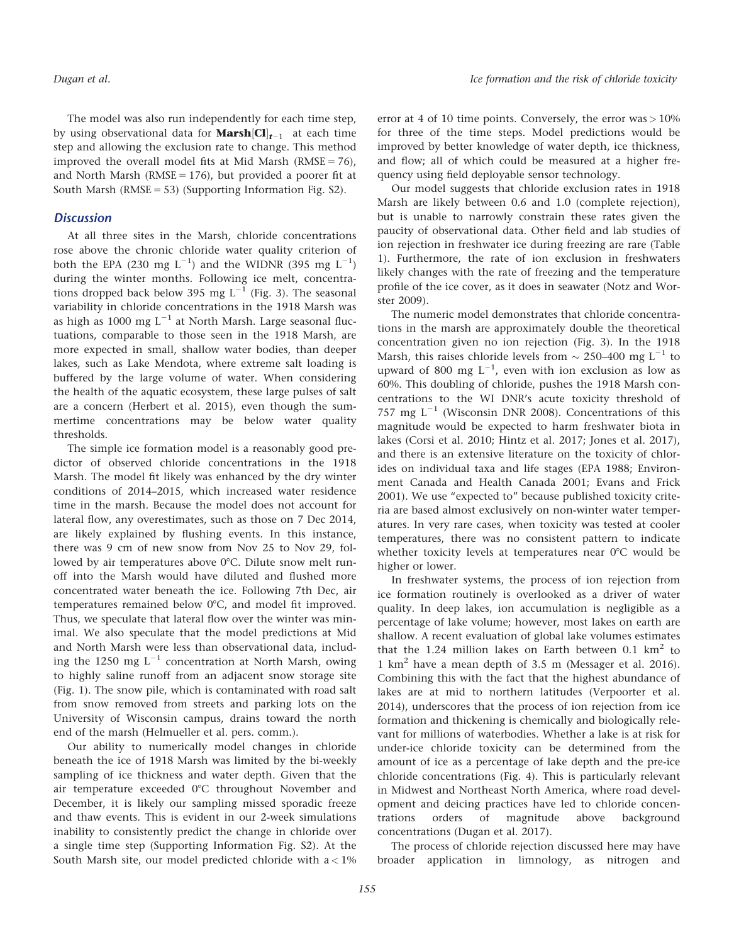The model was also run independently for each time step, by using observational data for **Marsh** $\left[\mathbf{Cl}\right]_{t-1}$  at each time step and allowing the exclusion rate to change. This method improved the overall model fits at Mid Marsh ( $RMSE = 76$ ), and North Marsh ( $RMSE = 176$ ), but provided a poorer fit at South Marsh ( $RMSE = 53$ ) (Supporting Information Fig. S2).

#### **Discussion**

At all three sites in the Marsh, chloride concentrations rose above the chronic chloride water quality criterion of both the EPA (230 mg  $L^{-1}$ ) and the WIDNR (395 mg  $L^{-1}$ ) during the winter months. Following ice melt, concentrations dropped back below 395 mg  $L^{-1}$  (Fig. 3). The seasonal variability in chloride concentrations in the 1918 Marsh was as high as 1000 mg  $L^{-1}$  at North Marsh. Large seasonal fluctuations, comparable to those seen in the 1918 Marsh, are more expected in small, shallow water bodies, than deeper lakes, such as Lake Mendota, where extreme salt loading is buffered by the large volume of water. When considering the health of the aquatic ecosystem, these large pulses of salt are a concern (Herbert et al. 2015), even though the summertime concentrations may be below water quality thresholds.

The simple ice formation model is a reasonably good predictor of observed chloride concentrations in the 1918 Marsh. The model fit likely was enhanced by the dry winter conditions of 2014–2015, which increased water residence time in the marsh. Because the model does not account for lateral flow, any overestimates, such as those on 7 Dec 2014, are likely explained by flushing events. In this instance, there was 9 cm of new snow from Nov 25 to Nov 29, followed by air temperatures above  $0^{\circ}$ C. Dilute snow melt runoff into the Marsh would have diluted and flushed more concentrated water beneath the ice. Following 7th Dec, air temperatures remained below 0°C, and model fit improved. Thus, we speculate that lateral flow over the winter was minimal. We also speculate that the model predictions at Mid and North Marsh were less than observational data, including the 1250 mg  $L^{-1}$  concentration at North Marsh, owing to highly saline runoff from an adjacent snow storage site (Fig. 1). The snow pile, which is contaminated with road salt from snow removed from streets and parking lots on the University of Wisconsin campus, drains toward the north end of the marsh (Helmueller et al. pers. comm.).

Our ability to numerically model changes in chloride beneath the ice of 1918 Marsh was limited by the bi-weekly sampling of ice thickness and water depth. Given that the air temperature exceeded  $0^{\circ}$ C throughout November and December, it is likely our sampling missed sporadic freeze and thaw events. This is evident in our 2-week simulations inability to consistently predict the change in chloride over a single time step (Supporting Information Fig. S2). At the South Marsh site, our model predicted chloride with  $a < 1\%$  error at 4 of 10 time points. Conversely, the error  $was > 10\%$ for three of the time steps. Model predictions would be improved by better knowledge of water depth, ice thickness, and flow; all of which could be measured at a higher frequency using field deployable sensor technology.

Our model suggests that chloride exclusion rates in 1918 Marsh are likely between 0.6 and 1.0 (complete rejection), but is unable to narrowly constrain these rates given the paucity of observational data. Other field and lab studies of ion rejection in freshwater ice during freezing are rare (Table 1). Furthermore, the rate of ion exclusion in freshwaters likely changes with the rate of freezing and the temperature profile of the ice cover, as it does in seawater (Notz and Worster 2009).

The numeric model demonstrates that chloride concentrations in the marsh are approximately double the theoretical concentration given no ion rejection (Fig. 3). In the 1918 Marsh, this raises chloride levels from  $\sim$  250–400 mg L $^{-1}$  to upward of 800 mg  $L^{-1}$ , even with ion exclusion as low as 60%. This doubling of chloride, pushes the 1918 Marsh concentrations to the WI DNR's acute toxicity threshold of 757 mg  $L^{-1}$  (Wisconsin DNR 2008). Concentrations of this magnitude would be expected to harm freshwater biota in lakes (Corsi et al. 2010; Hintz et al. 2017; Jones et al. 2017), and there is an extensive literature on the toxicity of chlorides on individual taxa and life stages (EPA 1988; Environment Canada and Health Canada 2001; Evans and Frick 2001). We use "expected to" because published toxicity criteria are based almost exclusively on non-winter water temperatures. In very rare cases, when toxicity was tested at cooler temperatures, there was no consistent pattern to indicate whether toxicity levels at temperatures near  $0^{\circ}$ C would be higher or lower.

In freshwater systems, the process of ion rejection from ice formation routinely is overlooked as a driver of water quality. In deep lakes, ion accumulation is negligible as a percentage of lake volume; however, most lakes on earth are shallow. A recent evaluation of global lake volumes estimates that the 1.24 million lakes on Earth between 0.1  $km^2$  to 1 km2 have a mean depth of 3.5 m (Messager et al. 2016). Combining this with the fact that the highest abundance of lakes are at mid to northern latitudes (Verpoorter et al. 2014), underscores that the process of ion rejection from ice formation and thickening is chemically and biologically relevant for millions of waterbodies. Whether a lake is at risk for under-ice chloride toxicity can be determined from the amount of ice as a percentage of lake depth and the pre-ice chloride concentrations (Fig. 4). This is particularly relevant in Midwest and Northeast North America, where road development and deicing practices have led to chloride concentrations orders of magnitude above background concentrations (Dugan et al. 2017).

The process of chloride rejection discussed here may have broader application in limnology, as nitrogen and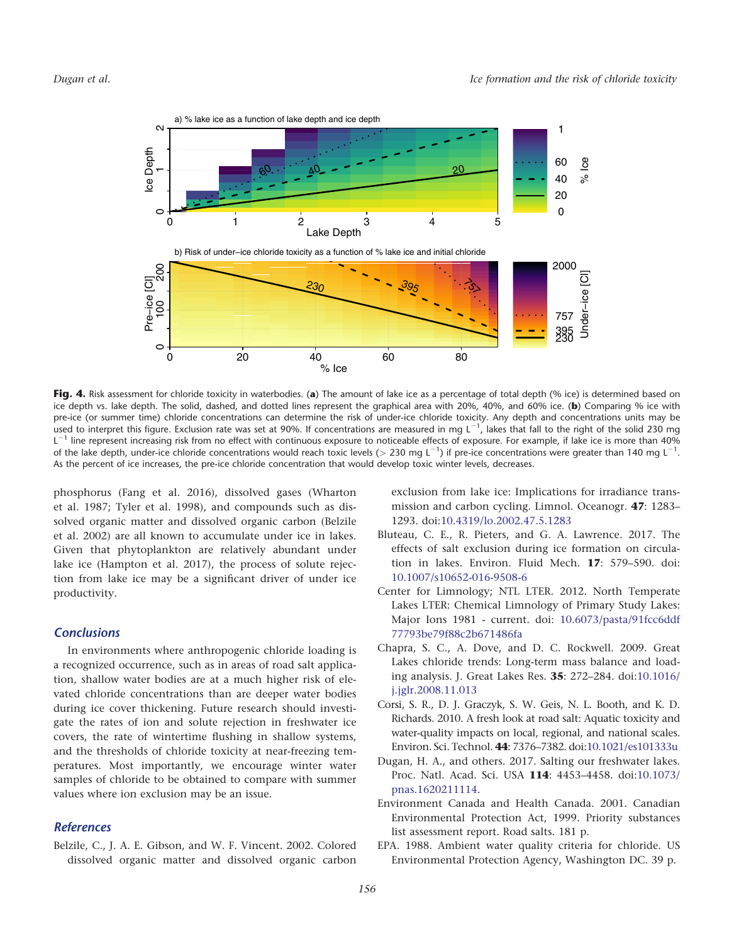

Fig. 4. Risk assessment for chloride toxicity in waterbodies. (a) The amount of lake ice as a percentage of total depth (% ice) is determined based on ice depth vs. lake depth. The solid, dashed, and dotted lines represent the graphical area with 20%, 40%, and 60% ice. (b) Comparing % ice with pre-ice (or summer time) chloride concentrations can determine the risk of under-ice chloride toxicity. Any depth and concentrations units may be used to interpret this figure. Exclusion rate was set at 90%. If concentrations are measured in mg  $L^{-1}$ , lakes that fall to the right of the solid 230 mg  $L^{-1}$  line represent increasing risk from no effect with continuous exposure to noticeable effects of exposure. For example, if lake ice is more than 40% of the lake depth, under-ice chloride concentrations would reach toxic levels (> 230 mg L<sup>-1</sup>) if pre-ice concentrations were greater than 140 mg L<sup>-1</sup>. As the percent of ice increases, the pre-ice chloride concentration that would develop toxic winter levels, decreases.

phosphorus (Fang et al. 2016), dissolved gases (Wharton et al. 1987; Tyler et al. 1998), and compounds such as dissolved organic matter and dissolved organic carbon (Belzile et al. 2002) are all known to accumulate under ice in lakes. Given that phytoplankton are relatively abundant under lake ice (Hampton et al. 2017), the process of solute rejection from lake ice may be a significant driver of under ice productivity.

#### **Conclusions**

In environments where anthropogenic chloride loading is a recognized occurrence, such as in areas of road salt application, shallow water bodies are at a much higher risk of elevated chloride concentrations than are deeper water bodies during ice cover thickening. Future research should investigate the rates of ion and solute rejection in freshwater ice covers, the rate of wintertime flushing in shallow systems, and the thresholds of chloride toxicity at near-freezing temperatures. Most importantly, we encourage winter water samples of chloride to be obtained to compare with summer values where ion exclusion may be an issue.

#### References

Belzile, C., J. A. E. Gibson, and W. F. Vincent. 2002. Colored dissolved organic matter and dissolved organic carbon exclusion from lake ice: Implications for irradiance transmission and carbon cycling. Limnol. Oceanogr. 47: 1283– 1293. doi[:10.4319/lo.2002.47.5.1283](http://dx.doi.org/10.4319/lo.2002.47.5.1283)

- Bluteau, C. E., R. Pieters, and G. A. Lawrence. 2017. The effects of salt exclusion during ice formation on circulation in lakes. Environ. Fluid Mech. 17: 579–590. doi: [10.1007/s10652-016-9508-6](http://dx.doi.org/10.1007/s10652-016-9508-6)
- Center for Limnology; NTL LTER. 2012. North Temperate Lakes LTER: Chemical Limnology of Primary Study Lakes: Major Ions 1981 - current. doi: [10.6073/pasta/91fcc6ddf](http://dx.doi.org/10.6073/pasta/91fcc6ddf77793be79f88c2b671486fa) [77793be79f88c2b671486fa](http://dx.doi.org/10.6073/pasta/91fcc6ddf77793be79f88c2b671486fa)
- Chapra, S. C., A. Dove, and D. C. Rockwell. 2009. Great Lakes chloride trends: Long-term mass balance and loading analysis. J. Great Lakes Res. 35: 272–284. doi[:10.1016/](http://dx.doi.org/10.1016/j.jglr.2008.11.013) [j.jglr.2008.11.013](http://dx.doi.org/10.1016/j.jglr.2008.11.013)
- Corsi, S. R., D. J. Graczyk, S. W. Geis, N. L. Booth, and K. D. Richards. 2010. A fresh look at road salt: Aquatic toxicity and water-quality impacts on local, regional, and national scales. Environ. Sci. Technol. 44: 7376–7382. doi:[10.1021/es101333u](http://dx.doi.org/10.1021/es101333u)
- Dugan, H. A., and others. 2017. Salting our freshwater lakes. Proc. Natl. Acad. Sci. USA 114: 4453–4458. doi[:10.1073/](http://dx.doi.org/10.1073/pnas.1620211114) [pnas.1620211114.](http://dx.doi.org/10.1073/pnas.1620211114)
- Environment Canada and Health Canada. 2001. Canadian Environmental Protection Act, 1999. Priority substances list assessment report. Road salts. 181 p.
- EPA. 1988. Ambient water quality criteria for chloride. US Environmental Protection Agency, Washington DC. 39 p.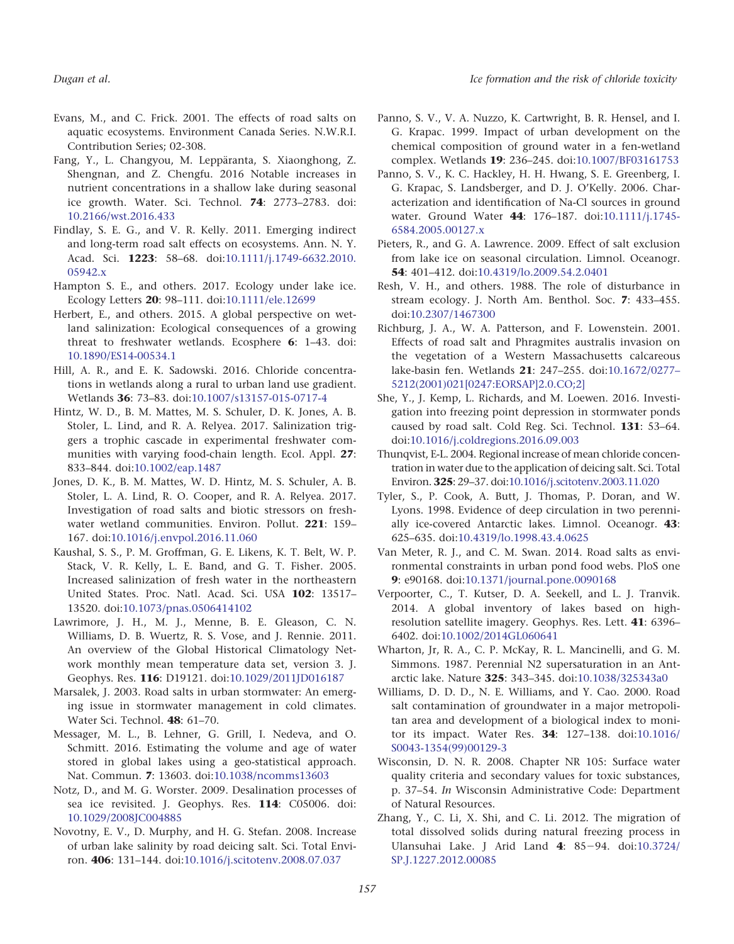- Evans, M., and C. Frick. 2001. The effects of road salts on aquatic ecosystems. Environment Canada Series. N.W.R.I. Contribution Series; 02-308.
- Fang, Y., L. Changyou, M. Leppäranta, S. Xiaonghong, Z. Shengnan, and Z. Chengfu. 2016 Notable increases in nutrient concentrations in a shallow lake during seasonal ice growth. Water. Sci. Technol. 74: 2773–2783. doi: [10.2166/wst.2016.433](http://dx.doi.org/10.2166/wst.2016.433)
- Findlay, S. E. G., and V. R. Kelly. 2011. Emerging indirect and long-term road salt effects on ecosystems. Ann. N. Y. Acad. Sci. **1223**: 58-68. doi[:10.1111/j.1749-6632.2010.](http://dx.doi.org/10.1111/j.1749-6632.2010.05942.x) [05942.x](http://dx.doi.org/10.1111/j.1749-6632.2010.05942.x)
- Hampton S. E., and others. 2017. Ecology under lake ice. Ecology Letters 20: 98–111. doi:[10.1111/ele.12699](http://dx.doi.org/10.1111/ele.12699)
- Herbert, E., and others. 2015. A global perspective on wetland salinization: Ecological consequences of a growing threat to freshwater wetlands. Ecosphere 6: 1–43. doi: [10.1890/ES14-00534.1](http://dx.doi.org/10.1890/ES14-00534.1)
- Hill, A. R., and E. K. Sadowski. 2016. Chloride concentrations in wetlands along a rural to urban land use gradient. Wetlands 36: 73–83. doi[:10.1007/s13157-015-0717-4](http://dx.doi.org/10.1007/s13157-015-0717-4)
- Hintz, W. D., B. M. Mattes, M. S. Schuler, D. K. Jones, A. B. Stoler, L. Lind, and R. A. Relyea. 2017. Salinization triggers a trophic cascade in experimental freshwater communities with varying food-chain length. Ecol. Appl. 27: 833–844. doi[:10.1002/eap.1487](http://dx.doi.org/10.1002/eap.1487)
- Jones, D. K., B. M. Mattes, W. D. Hintz, M. S. Schuler, A. B. Stoler, L. A. Lind, R. O. Cooper, and R. A. Relyea. 2017. Investigation of road salts and biotic stressors on freshwater wetland communities. Environ. Pollut. 221: 159– 167. doi[:10.1016/j.envpol.2016.11.060](http://dx.doi.org/10.1016/j.envpol.2016.11.060)
- Kaushal, S. S., P. M. Groffman, G. E. Likens, K. T. Belt, W. P. Stack, V. R. Kelly, L. E. Band, and G. T. Fisher. 2005. Increased salinization of fresh water in the northeastern United States. Proc. Natl. Acad. Sci. USA 102: 13517– 13520. doi:[10.1073/pnas.0506414102](http://dx.doi.org/10.1073/pnas.0506414102)
- Lawrimore, J. H., M. J., Menne, B. E. Gleason, C. N. Williams, D. B. Wuertz, R. S. Vose, and J. Rennie. 2011. An overview of the Global Historical Climatology Network monthly mean temperature data set, version 3. J. Geophys. Res. 116: D19121. doi[:10.1029/2011JD016187](http://dx.doi.org/10.1029/2011JD016187)
- Marsalek, J. 2003. Road salts in urban stormwater: An emerging issue in stormwater management in cold climates. Water Sci. Technol. 48: 61–70.
- Messager, M. L., B. Lehner, G. Grill, I. Nedeva, and O. Schmitt. 2016. Estimating the volume and age of water stored in global lakes using a geo-statistical approach. Nat. Commun. 7: 13603. doi:[10.1038/ncomms13603](http://dx.doi.org/10.1038/ncomms13603)
- Notz, D., and M. G. Worster. 2009. Desalination processes of sea ice revisited. J. Geophys. Res. 114: C05006. doi: [10.1029/2008JC004885](http://dx.doi.org/10.1029/2008JC004885)
- Novotny, E. V., D. Murphy, and H. G. Stefan. 2008. Increase of urban lake salinity by road deicing salt. Sci. Total Environ. 406: 131–144. doi[:10.1016/j.scitotenv.2008.07.037](http://dx.doi.org/10.1016/j.scitotenv.2008.07.037)
- Panno, S. V., V. A. Nuzzo, K. Cartwright, B. R. Hensel, and I. G. Krapac. 1999. Impact of urban development on the chemical composition of ground water in a fen-wetland complex. Wetlands 19: 236–245. doi:[10.1007/BF03161753](http://dx.doi.org/10.1007/BF03161753)
- Panno, S. V., K. C. Hackley, H. H. Hwang, S. E. Greenberg, I. G. Krapac, S. Landsberger, and D. J. O'Kelly. 2006. Characterization and identification of Na-Cl sources in ground water. Ground Water **44**: 176–187. doi:[10.1111/j.1745-](http://dx.doi.org/10.1111/j.1745-6584.2005.00127.x) [6584.2005.00127.x](http://dx.doi.org/10.1111/j.1745-6584.2005.00127.x)
- Pieters, R., and G. A. Lawrence. 2009. Effect of salt exclusion from lake ice on seasonal circulation. Limnol. Oceanogr. 54: 401–412. doi[:10.4319/lo.2009.54.2.0401](http://dx.doi.org/10.4319/lo.2009.54.2.0401)
- Resh, V. H., and others. 1988. The role of disturbance in stream ecology. J. North Am. Benthol. Soc. 7: 433–455. doi[:10.2307/1467300](http://dx.doi.org/10.2307/1467300)
- Richburg, J. A., W. A. Patterson, and F. Lowenstein. 2001. Effects of road salt and Phragmites australis invasion on the vegetation of a Western Massachusetts calcareous lake-basin fen. Wetlands 21: 247–255. doi:[10.1672/0277–](http://dx.doi.org/10.1672/0277-5212(2001)021[0247:EORSAP]2.0.CO;2]) [5212\(2001\)021\[0247:EORSAP\]2.0.CO;2\]](http://dx.doi.org/10.1672/0277-5212(2001)021[0247:EORSAP]2.0.CO;2])
- She, Y., J. Kemp, L. Richards, and M. Loewen. 2016. Investigation into freezing point depression in stormwater ponds caused by road salt. Cold Reg. Sci. Technol. 131: 53–64. doi[:10.1016/j.coldregions.2016.09.003](http://dx.doi.org/10.1016/j.coldregions.2016.09.003)
- Thunqvist, E-L. 2004. Regional increase of mean chloride concentration in water due to the application of deicing salt. Sci. Total Environ. 325: 29–37. doi:[10.1016/j.scitotenv.2003.11.020](http://dx.doi.org/10.1016/j.scitotenv.2003.11.020)
- Tyler, S., P. Cook, A. Butt, J. Thomas, P. Doran, and W. Lyons. 1998. Evidence of deep circulation in two perennially ice-covered Antarctic lakes. Limnol. Oceanogr. 43: 625–635. doi[:10.4319/lo.1998.43.4.0625](http://dx.doi.org/10.4319/lo.1998.43.4.0625)
- Van Meter, R. J., and C. M. Swan. 2014. Road salts as environmental constraints in urban pond food webs. PloS one 9: e90168. doi[:10.1371/journal.pone.0090168](http://dx.doi.org/10.1371/journal.pone.0090168)
- Verpoorter, C., T. Kutser, D. A. Seekell, and L. J. Tranvik. 2014. A global inventory of lakes based on highresolution satellite imagery. Geophys. Res. Lett. 41: 6396– 6402. doi[:10.1002/2014GL060641](http://dx.doi.org/10.1002/2014GL060641)
- Wharton, Jr, R. A., C. P. McKay, R. L. Mancinelli, and G. M. Simmons. 1987. Perennial N2 supersaturation in an Antarctic lake. Nature 325: 343–345. doi:[10.1038/325343a0](http://dx.doi.org/10.1038/325343a0)
- Williams, D. D. D., N. E. Williams, and Y. Cao. 2000. Road salt contamination of groundwater in a major metropolitan area and development of a biological index to monitor its impact. Water Res. 34: 127–138. doi:[10.1016/](http://dx.doi.org/10.1016/S0043-1354(99)00129-3) [S0043-1354\(99\)00129-3](http://dx.doi.org/10.1016/S0043-1354(99)00129-3)
- Wisconsin, D. N. R. 2008. Chapter NR 105: Surface water quality criteria and secondary values for toxic substances, p. 37–54. In Wisconsin Administrative Code: Department of Natural Resources.
- Zhang, Y., C. Li, X. Shi, and C. Li. 2012. The migration of total dissolved solids during natural freezing process in Ulansuhai Lake. J Arid Land  $4: 85-94.$  doi[:10.3724/](http://dx.doi.org/10.3724/SP.J.1227.2012.00085) [SP.J.1227.2012.00085](http://dx.doi.org/10.3724/SP.J.1227.2012.00085)